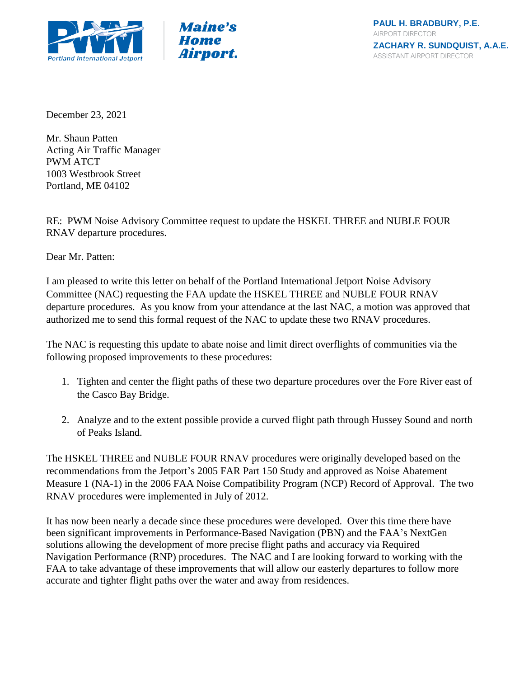



December 23, 2021

Mr. Shaun Patten Acting Air Traffic Manager PWM ATCT 1003 Westbrook Street Portland, ME 04102

RE: PWM Noise Advisory Committee request to update the HSKEL THREE and NUBLE FOUR RNAV departure procedures.

Dear Mr. Patten:

I am pleased to write this letter on behalf of the Portland International Jetport Noise Advisory Committee (NAC) requesting the FAA update the HSKEL THREE and NUBLE FOUR RNAV departure procedures. As you know from your attendance at the last NAC, a motion was approved that authorized me to send this formal request of the NAC to update these two RNAV procedures.

The NAC is requesting this update to abate noise and limit direct overflights of communities via the following proposed improvements to these procedures:

- 1. Tighten and center the flight paths of these two departure procedures over the Fore River east of the Casco Bay Bridge.
- 2. Analyze and to the extent possible provide a curved flight path through Hussey Sound and north of Peaks Island.

The HSKEL THREE and NUBLE FOUR RNAV procedures were originally developed based on the recommendations from the Jetport's 2005 FAR Part 150 Study and approved as Noise Abatement Measure 1 (NA-1) in the 2006 FAA Noise Compatibility Program (NCP) Record of Approval. The two RNAV procedures were implemented in July of 2012.

It has now been nearly a decade since these procedures were developed. Over this time there have been significant improvements in Performance-Based Navigation (PBN) and the FAA's NextGen solutions allowing the development of more precise flight paths and accuracy via Required Navigation Performance (RNP) procedures. The NAC and I are looking forward to working with the FAA to take advantage of these improvements that will allow our easterly departures to follow more accurate and tighter flight paths over the water and away from residences.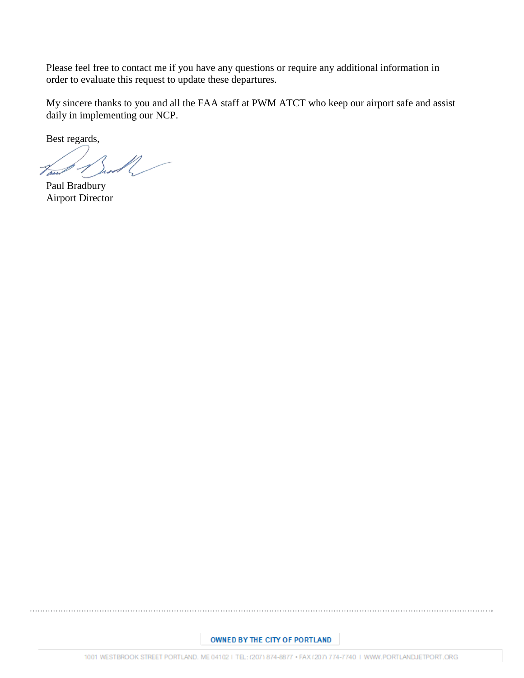Please feel free to contact me if you have any questions or require any additional information in order to evaluate this request to update these departures.

My sincere thanks to you and all the FAA staff at PWM ATCT who keep our airport safe and assist daily in implementing our NCP.

Best regards,

Paul Bradbury Airport Director

## OWNED BY THE CITY OF PORTLAND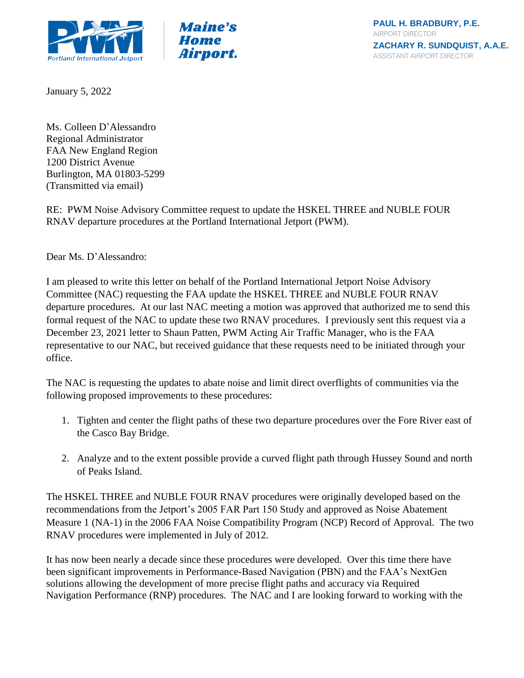



January 5, 2022

Ms. Colleen D'Alessandro Regional Administrator FAA New England Region 1200 District Avenue Burlington, MA 01803-5299 (Transmitted via email)

RE: PWM Noise Advisory Committee request to update the HSKEL THREE and NUBLE FOUR RNAV departure procedures at the Portland International Jetport (PWM).

Dear Ms. D'Alessandro:

I am pleased to write this letter on behalf of the Portland International Jetport Noise Advisory Committee (NAC) requesting the FAA update the HSKEL THREE and NUBLE FOUR RNAV departure procedures. At our last NAC meeting a motion was approved that authorized me to send this formal request of the NAC to update these two RNAV procedures. I previously sent this request via a December 23, 2021 letter to Shaun Patten, PWM Acting Air Traffic Manager, who is the FAA representative to our NAC, but received guidance that these requests need to be initiated through your office.

The NAC is requesting the updates to abate noise and limit direct overflights of communities via the following proposed improvements to these procedures:

- 1. Tighten and center the flight paths of these two departure procedures over the Fore River east of the Casco Bay Bridge.
- 2. Analyze and to the extent possible provide a curved flight path through Hussey Sound and north of Peaks Island.

The HSKEL THREE and NUBLE FOUR RNAV procedures were originally developed based on the recommendations from the Jetport's 2005 FAR Part 150 Study and approved as Noise Abatement Measure 1 (NA-1) in the 2006 FAA Noise Compatibility Program (NCP) Record of Approval. The two RNAV procedures were implemented in July of 2012.

It has now been nearly a decade since these procedures were developed. Over this time there have been significant improvements in Performance-Based Navigation (PBN) and the FAA's NextGen solutions allowing the development of more precise flight paths and accuracy via Required Navigation Performance (RNP) procedures. The NAC and I are looking forward to working with the